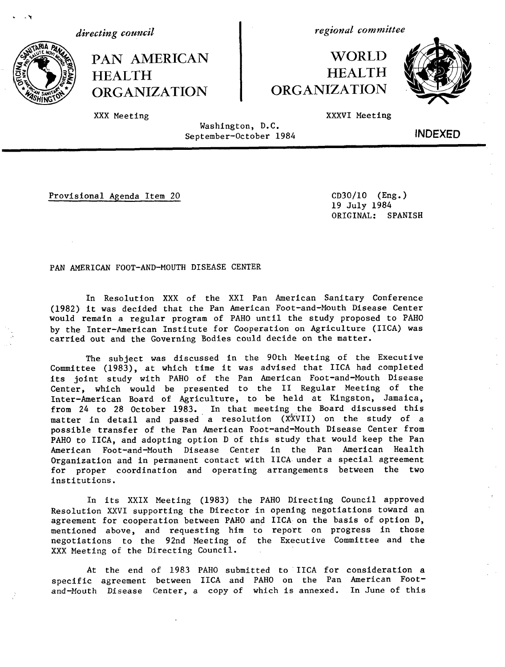*directing council*

HEALTH HEALTH<br>
ORGANIZATION ORGANIZATION **ORGANIZATION** 

*regional committee*

## PAN AMERICAN WORLD<br>HEALTH HEALTH



XXX Meeting The Communication of the Communication of the Communication of the Communication of the Communication of the Communication of the Communication of the Communication of the Communication of the Communication of

Washington, D.C. September-October 1984 INDEXED

Provisional Agenda Item 20 CD30/10 (Eng.)

19 July 1984 ORIGINAL: SPANISH

PAN AMERICAN FOOT-AND-MOUTH DISEASE CENTER

In Resolution XXX of the XXI Pan American Sanitary Conference (1982) it was decided that the Pan American Foot-and-Mouth Disease Center would remain a regular program of PAHO until the study proposed to PAHO by the Inter-American Institute for Cooperation on Agriculture (IICA) was carried out and the Governing Bodies could decide on the matter.

The subject was discussed in the 90th Meeting of the Executive Committee (1983), at which time it was advised that IICA had completed its joint study with PAHO of the Pan American Foot-and-Mouth Disease Center, which would be presented to the II Regular Meeting of the Inter-American Board of Agriculture, to be held at Kingston, Jamaica, from 24 to 28 October 1983. In that meeting the Board discussed this matter in detail and passed a resolution (XXVII) on the study of a possible transfer of the Pan American Foot-and-Mouth Disease Center from PAHO to IICA, and adopting option D of this study that would keep the Pan American Foot-and-Mouth Disease Center in the Pan American Health Organization and in permanent contact with IICA under a special agreement for proper coordination and operating arrangements between the two institutions.

In its XXIX Meeting (1983) the PAHO Directing Council approved Resolution XXVI supporting the Director in opening negotiations toward an agreement for cooperation between PAHO and IICA on the basis of option D, mentioned above, and requesting him to report on progress in those negotiations to the 92nd Meeting of the Executive Committee and the XXX Meeting of the Directing Council.

At the end of 1983 PAHO submitted to IICA for consideration a specific agreement between IICA and PAHO on the Pan American Footand-Mouth Disease Center, a copy of which is annexed. In June of this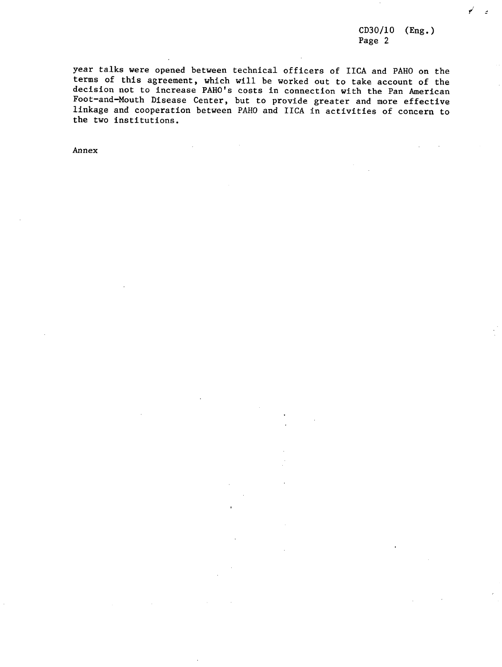CD30/10 (Eng.) Page 2

year talks were opened between technical officers of IICA and PAHO on the terms of this agreement, which will be worked out to take account of the decision not to increase PAHO's costs in connection with the Pan American Foot-and-Mouth Disease Center, but to provide greater and more effective linkage and cooperation between PAHO and IICA in activities of concern to the two institutions.

Annex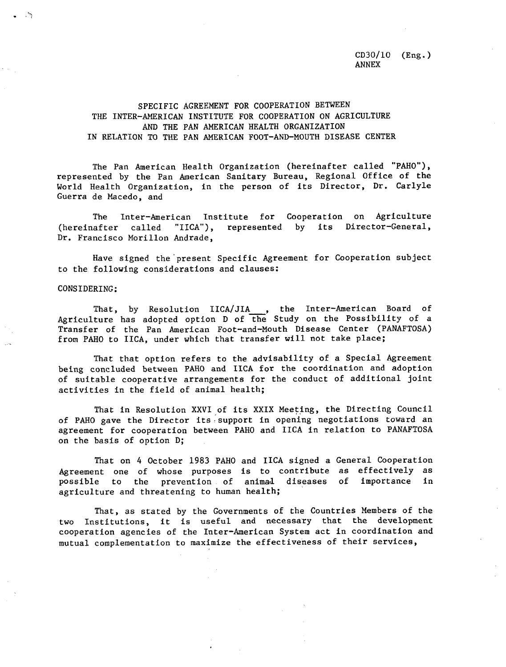CD30/10 (Eng.) ANNEX

## SPECIFIC AGREEMENT FOR COOPERATION BETWEEN THE INTER-AMERICAN INSTITUTE FOR COOPERATION ON AGRICULTURE AND THE PAN AMERICAN HEALTH ORGANIZATION IN RELATION TO THE PAN AMERICAN FOOT-AND-MOUTH DISEASE CENTER

The Pan American Health Organization (hereinafter called "PAHO"), represented by the Pan American Sanitary Bureau, Regional Office of the World Health Organization, in the person of its Director, Dr. Carlyle Guerra de Macedo, and

The Inter-American Institute for Cooperation on Agriculture (hereinafter called "IICA"), represented by its Director-General, Dr. Francisco Morillon Andrade,

Have signed the present Specific Agreement for Cooperation subject to the following considerations and clauses:

## CONSIDERING:

That, by Resolution IICA/JIA , the Inter-American Board of Agriculture has adopted option D of the Study on the Possibility of a Transfer of the Pan American Foot-and-Mouth Disease Center (PANAFTOSA) from PAHO to IICA, under which that transfer will not take place;

That that option refers to the advisability of a Special Agreement being concluded between PAHO and IICA for the coordination and adoption of suitable cooperative arrangements for the conduct of additional joint activities in the field of animal health;

That in Resolution XXVI of its XXIX Meeting, the Directing Council of PAHO gave the Director its support in opening negotiations toward an agreement for cooperation between PAHO and IICA in relation to PANAFTOSA on the basis of option D;

That on 4 October 1983 PAHO and IICA signed a General Cooperation Agreement one of whose purposes is to contribute as effectively as possible to the prevention of animal diseases of importance in agriculture and threatening to human health;

That, as stated by the Governments of the Countries Members of the two Institutions, it is useful and necessary that the development cooperation agencies of the Inter-American System act in coordination and mutual complementation to maximize the effectiveness of their services,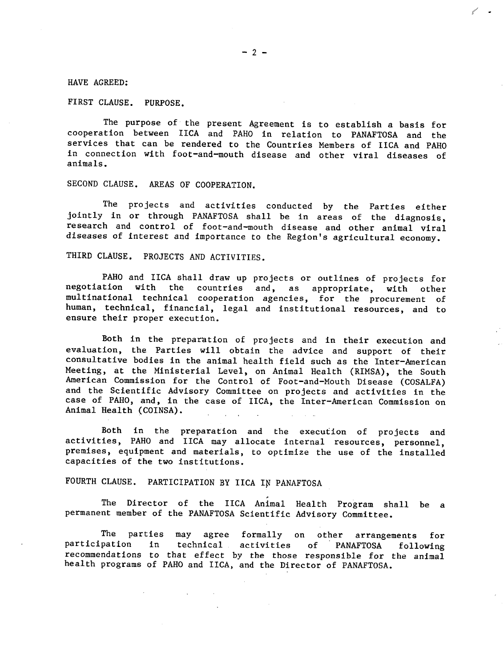$-2-$ 

HAVE AGREED:

FIRST CLAUSE. PURPOSE.

The purpose of the present Agreement is to establish a basis for cooperation between IICA and PAHO in relation to PANAFTOSA and the services that can be rendered to the Countries Members of IICA and PAHO in connection with foot-and-mouth disease and other viral diseases of animals.

SECOND CLAUSE. AREAS OF COOPERATION.

The projects and activities conducted by the Parties either jointly in or through PANAFTOSA shall be in areas of the diagnosis, research and control of foot-and-mouth disease and other animal viral diseases of interest and importance to the Region's agricultural economy.

THIRD CLAUSE. PROJECTS AND ACTIVITIES.

PAHO and IICA shall draw up projects or outlines of projects for<br>negotiation with the countries and, as appropriate, with other countries and, as appropriate, with other multinational technical cooperation agencies, for the procurement of human, technical, financial, legal and institutional resources, and to ensure their proper execution.

Both in the preparation of projects and in their execution and evaluation, the Parties will obtain the advice and support of their consultative bodies in the animal health field such as the Inter-American Meeting, at the Ministerial Level, on Animal Health (RIMSA), the South American Commission for the Control of Foot-and-Mouth Disease (COSALFA) and the Scientific Advisory Committee on projects and activities in the case of PAHO, and, in the case of IICA, the Inter-American Commission on Animal Health (COINSA).

Both in the preparation and the execution of projects and activities, PAHO and IICA may allocate internal resources, personnel, premises, equipment and materials, to optimize the use of the installed capacities of the two institutions.

FOURTH CLAUSE. PARTICIPATION BY IICA IN PANAFTOSA

The Director of the IICA Animal Health Program shall be a permanent member of the PANAFTOSA Scientific Advisory Committee.

The parties may agree formally on other arrangements for<br>participation in technical activities of PANAFTOSA following participation in technical activities of PANAFTOSA following recommendations to that effect by the those responsible for the animal health programs of PAHO and IICA, and the Director of PANAFTOSA.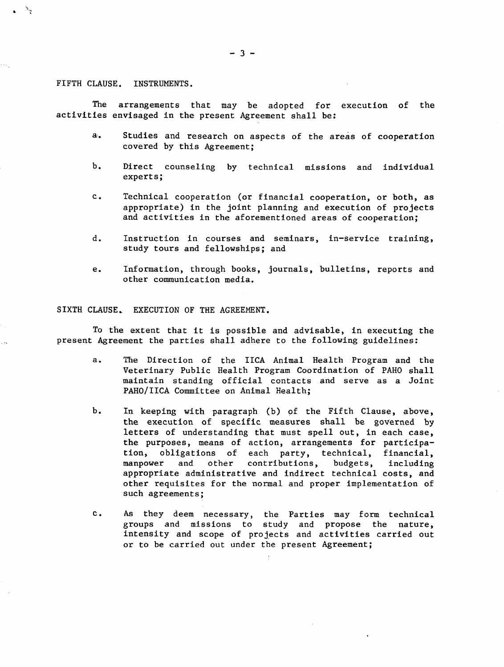FIFTH CLAUSE. INSTRUMENTS.

The arrangements that may be adopted for execution of the activities envisaged in the present Agreement shall be:

- a. Studies and research on aspects of the areas of cooperation covered by this Agreement;
- b. Direct counseling by technical missions and individual experts;
- c. Technical cooperation (or financial cooperation, or both, as appropriate) in the joint planning and execution of projects and activities in the aforementioned areas of cooperation;
- d. Instruction in courses and seminars, in-service training, study tours and fellowships; and
- e. Information, through books, journals, bulletins, reports and other communication media.

## SIXTH CLAUSE. EXECUTION OF THE AGREEMENT.

To the extent that it is possible and advisable, in executing the present Agreement the parties shall adhere to the following guidelines:

- a. The Direction of the IICA Animal Health Program and the Veterinary Public Health Program Coordination of PAHO shall maintain standing official contacts and serve as a Joint PAHO/IICA Committee on Animal Health;
- b. In keeping with paragraph (b) of the Fifth Clause, above, the execution of specific measures shall be governed by letters of understanding that must spell out, in each case, the purposes, means of action, arrangements for participation, obligations of each party, technical, financial, manpower and other contributions, budgets, including appropriate administrative and indirect technical costs, and other requisites for the normal and proper implementation of such agreements;
- c. As they deem necessary, the Parties may form technical groups and missions to study and propose the nature, intensity and scope of projects and activities carried out or to be carried out under the present Agreement;